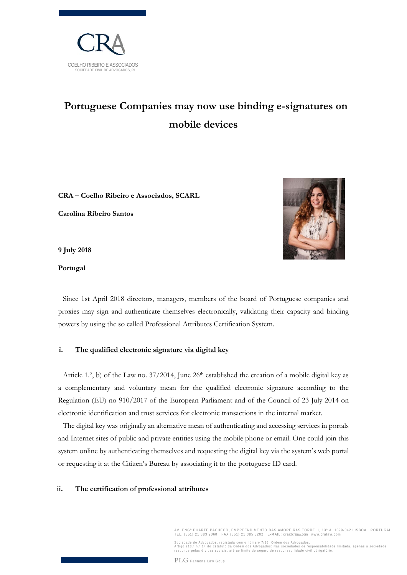

## **Portuguese Companies may now use binding e-signatures on mobile devices**

**CRA – Coelho Ribeiro e Associados, SCARL**

**Carolina Ribeiro Santos** 



**Portugal** 



Since 1st April 2018 directors, managers, members of the board of Portuguese companies and proxies may sign and authenticate themselves electronically, validating their capacity and binding powers by using the so called Professional Attributes Certification System.

## **i. The qualified electronic signature via digital key**

Article 1. $\degree$ , b) of the Law no. 37/2014, June 26<sup>th</sup> established the creation of a mobile digital key as a complementary and voluntary mean for the qualified electronic signature according to the Regulation (EU) no 910/2017 of the European Parliament and of the Council of 23 July 2014 on electronic identification and trust services for electronic transactions in the internal market.

The digital key was originally an alternative mean of authenticating and accessing services in portals and Internet sites of public and private entities using the mobile phone or email. One could join this system online by authenticating themselves and requesting the digital key via the system's web portal or requesting it at the Citizen's Bureau by associating it to the portuguese ID card.

## **ii. The certification of professional attributes**

AV. ENG°DUARTE PACHECO, EMPREENDIMENTO DAS AMOREIRAS TORRE II, 13º A 1099–042 LISBOA –PORTUGAL<br>TEL. (351) 21 383 9060 – FAX (351) 21 385 3202 – E–MAIL: cra@cralaw.com – www.cralaw.com

Sociedade de Advogados, registada com o número 7/86, Ordem dos Advogados.<br>Artigo 213.º n.º 14 do Estatuto da Ordem dos Advogados: Nas sociedades de responsabilidade limitada, apenas a sociedade<br>responde pelas dividas socia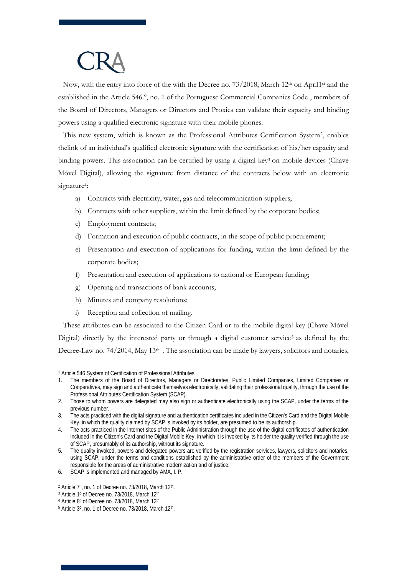Now, with the entry into force of the with the Decree no.  $73/2018$ , March 12<sup>th</sup> on April<sup>1st</sup> and the established in the Article 546.º, no. 1 of the Portuguese Commercial Companies Code1, members of the Board of Directors, Managers or Directors and Proxies can validate their capacity and binding powers using a qualified electronic signature with their mobile phones.

This new system, which is known as the Professional Attributes Certification System2, enables thelink of an individual's qualified electronic signature with the certification of his/her capacity and binding powers. This association can be certified by using a digital key<sup>3</sup> on mobile devices (Chave Móvel Digital), allowing the signature from distance of the contracts below with an electronic signature<sup>4</sup>:

- a) Contracts with electricity, water, gas and telecommunication suppliers;
- b) Contracts with other suppliers, within the limit defined by the corporate bodies;
- c) Employment contracts;
- d) Formation and execution of public contracts, in the scope of public procurement;
- e) Presentation and execution of applications for funding, within the limit defined by the corporate bodies;
- f) Presentation and execution of applications to national or European funding;
- g) Opening and transactions of bank accounts;
- h) Minutes and company resolutions;
- i) Reception and collection of mailing.

These attributes can be associated to the Citizen Card or to the mobile digital key (Chave Móvel Digital) directly by the interested party or through a digital customer service<sup>5</sup> as defined by the Decree-Law no. 74/2014, May 13<sup>th.</sup> . The association can be made by lawyers, solicitors and notaries,

 $\overline{a}$ 1 Article 546 System of Certification of Professional Attributes

<sup>1.</sup> The members of the Board of Directors, Managers or Directorates, Public Limited Companies, Limited Companies or Cooperatives, may sign and authenticate themselves electronically, validating their professional quality, through the use of the Professional Attributes Certification System (SCAP).

<sup>2.</sup> Those to whom powers are delegated may also sign or authenticate electronically using the SCAP, under the terms of the previous number.

<sup>3.</sup> The acts practiced with the digital signature and authentication certificates included in the Citizen's Card and the Digital Mobile Key, in which the quality claimed by SCAP is invoked by its holder, are presumed to be its authorship.

<sup>4.</sup> The acts practiced in the Internet sites of the Public Administration through the use of the digital certificates of authentication included in the Citizen's Card and the Digital Mobile Key, in which it is invoked by its holder the quality verified through the use of SCAP, presumably of its authorship, without its signature.

<sup>5.</sup> The quality invoked, powers and delegated powers are verified by the registration services, lawyers, solicitors and notaries, using SCAP, under the terms and conditions established by the administrative order of the members of the Government responsible for the areas of administrative modernization and of justice.

<sup>6.</sup> SCAP is implemented and managed by AMA, I. P.

<sup>&</sup>lt;sup>2</sup> Article 7°, no. 1 of Decree no. 73/2018, March 12<sup>th</sup>.<br><sup>3</sup> Article 1° of Decree no. 73/2018, March 12<sup>th</sup>.<br><sup>4</sup> Article 8° of Decree no. 73/2018, March 12<sup>th</sup>.

 $5$  Article  $3^\circ$ , no. 1 of Decree no. 73/2018, March 12<sup>th</sup>.